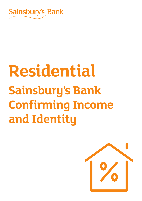

# **Sainsbury's Bank Confirming Income and Identity Residential**

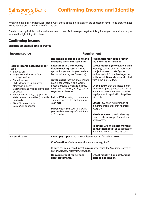When we get a Full Mortgage Application, we'll check all the information on the application form. To do that, we need to see various documents that confirm the details.

The decision in principle confirms what we need to see. And we've put together this guide so you can make sure you send us the right things first time.

## **Confirming income**

Sainsbury's Bank

#### **Income assessed under PAYE**

| Income source                                                                                                                                                                                                                                                                                                                                                                                  | <b>Requirement</b>                                                                                                                                                                                                                                                                                                                                                                                                                                                                                               |                                                                                                                                                                                                                                                                                                                                                                                                                                                                                                                                                                                                                                                                                                      |
|------------------------------------------------------------------------------------------------------------------------------------------------------------------------------------------------------------------------------------------------------------------------------------------------------------------------------------------------------------------------------------------------|------------------------------------------------------------------------------------------------------------------------------------------------------------------------------------------------------------------------------------------------------------------------------------------------------------------------------------------------------------------------------------------------------------------------------------------------------------------------------------------------------------------|------------------------------------------------------------------------------------------------------------------------------------------------------------------------------------------------------------------------------------------------------------------------------------------------------------------------------------------------------------------------------------------------------------------------------------------------------------------------------------------------------------------------------------------------------------------------------------------------------------------------------------------------------------------------------------------------------|
|                                                                                                                                                                                                                                                                                                                                                                                                | Residential mortgage up to and<br>including 75% loan-to-value                                                                                                                                                                                                                                                                                                                                                                                                                                                    | Residential mortgage greater<br>than 75% loan-to-value                                                                                                                                                                                                                                                                                                                                                                                                                                                                                                                                                                                                                                               |
| Regular income assessed under<br><b>PAYE</b><br>• Basic salary<br>• Large town allowance (not<br>moving location)<br>• Car allowance<br>• Shift allowance (guaranteed)<br>• Mortgage subsidy<br>• Second job salary (and allowances<br>as above)<br>• Retirement Income, e.g. private/<br>state pension, annuities (currently<br>received)<br>• Fixed Term contracts<br>• Zero hours contracts | Latest month's (or weekly<br>if paid weekly) payslip prior to<br>application (subject to year to date<br>figures evidencing last 3 months);<br>In the event that the latest month<br>payslip (or weekly if paid weekly)<br>doesn't provide 3 months income,<br>then latest month's (weekly) payslip<br>together with either:<br><b>Latest P60</b> showing a minimum of<br>3 months income for that financial<br>year; OR<br>March year-end payslip showing<br>year-to-date earnings of a minimum<br>of 3 months. | Latest month's (or weekly if paid<br>weekly) payslip prior to application<br>(subject to year to date figures<br>evidencing last 3 months) together<br>with latest Bank statement dated<br>within the last 35 days.<br>In the event that the latest month<br>(or weekly) payslip doesn't provide 3<br>months income, then latest month's<br>payslip prior to application together<br>with either:<br>Latest P60 showing minimum of<br>3 months income for that financial<br>year; OR<br>March year-end payslip showing<br>year to date earnings of a minimum<br>of 3 months.<br>Together with the latest month's<br><b>Bank statement</b> prior to application<br>and dated within the last 35 days. |
| <b>Parental Leave</b>                                                                                                                                                                                                                                                                                                                                                                          | Latest payslip prior to parental leave showing full salary; AND                                                                                                                                                                                                                                                                                                                                                                                                                                                  |                                                                                                                                                                                                                                                                                                                                                                                                                                                                                                                                                                                                                                                                                                      |
|                                                                                                                                                                                                                                                                                                                                                                                                | <b>Confirmation</b> of return to work date and salary; AND<br>If leave has commenced latest payslip evidencing the Statutory Maternity<br>Pay or Statutory Maternity Allowance.                                                                                                                                                                                                                                                                                                                                  |                                                                                                                                                                                                                                                                                                                                                                                                                                                                                                                                                                                                                                                                                                      |
|                                                                                                                                                                                                                                                                                                                                                                                                | <b>No requirement for Personal</b><br><b>Bank statements.</b>                                                                                                                                                                                                                                                                                                                                                                                                                                                    | Latest month's bank statement<br>prior to application.                                                                                                                                                                                                                                                                                                                                                                                                                                                                                                                                                                                                                                               |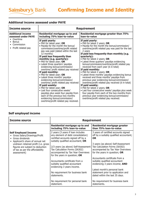#### **Additional income assessed under PAYE**

| Income source                                             | <b>Requirement</b>                                                                                                                                                                                                                                                                                                                                                                                                                                                                                                                                                                                                                                                                                                                                                                       |                                                                                                                                                                                                                                                                                                                                                                                                                                                                                                                                                                                                                                                                                                                                                                                                                                                                                                              |  |
|-----------------------------------------------------------|------------------------------------------------------------------------------------------------------------------------------------------------------------------------------------------------------------------------------------------------------------------------------------------------------------------------------------------------------------------------------------------------------------------------------------------------------------------------------------------------------------------------------------------------------------------------------------------------------------------------------------------------------------------------------------------------------------------------------------------------------------------------------------------|--------------------------------------------------------------------------------------------------------------------------------------------------------------------------------------------------------------------------------------------------------------------------------------------------------------------------------------------------------------------------------------------------------------------------------------------------------------------------------------------------------------------------------------------------------------------------------------------------------------------------------------------------------------------------------------------------------------------------------------------------------------------------------------------------------------------------------------------------------------------------------------------------------------|--|
| <b>Additional income</b><br>assessed under PAYE           | Residential mortgage up to and<br>including 75% loan-to-value                                                                                                                                                                                                                                                                                                                                                                                                                                                                                                                                                                                                                                                                                                                            | Residential mortgage greater than 75%<br>loan-to-value                                                                                                                                                                                                                                                                                                                                                                                                                                                                                                                                                                                                                                                                                                                                                                                                                                                       |  |
| • Overtime<br>Bonus<br>Commission<br>• Profit related pay | If paid yearly:<br>• P60 for latest year; OR<br>• Payslip for the month the bonus/<br>commission/overtime/profit related<br>pay was paid (dated within the last<br>12 months)<br>If paid less frequently than<br>monthly (e.g. quarterly):<br>• P60 for latest year; OR<br>• Latest three quarters' payslips<br>evidencing bonus/commission/<br>overtime/ profit related pay received<br>If paid monthly:<br>. P60 for latest year; OR<br>• Latest three months' payslips<br>evidencing bonus/commission/<br>overtime/ profit related pay received<br>If paid weekly:<br>• P60 for latest year; OR<br>• Last four consecutive weeks'<br>payslips plus week four payslip from<br>each of the previous two months<br>evidencing bonus/commission/<br>overtime/profit related pay received. | If paid yearly:<br>• P60 for latest 2 years; OR<br>• Payslip for the month the bonus/commission/<br>overtime/profit related pay was paid for the last<br>2 years<br>If paid less frequently than monthly (e.g.<br>quarterly):<br>• P60 for latest 2 years; OR<br>• Latest three quarters' payslips evidencing<br>bonus/commission/overtime/profit related pay<br>received from each year (6 in total)<br>If paid monthly:<br>. P60 for latest 2 years; OR<br>• Latest three months' payslips evidencing bonus<br>received and three months' payslips from<br>previous year evidencing bonus/commission/<br>overtime/profit related pay received (6 in total)<br>If paid weekly:<br>• P60 for latest 2 years; OR<br>· Last four consecutive weeks' payslips plus week<br>four payslip from each of the two months from<br>previous year evidencing bonus/commission/<br>overtime/profit related pay received. |  |

### **Self employed income**

| Income source                                                                                                             |                                                                                                                                                    | <b>Requirement</b>                                                                                                                          |
|---------------------------------------------------------------------------------------------------------------------------|----------------------------------------------------------------------------------------------------------------------------------------------------|---------------------------------------------------------------------------------------------------------------------------------------------|
|                                                                                                                           | Residential mortgage up to and<br>including 75% loan-to-value                                                                                      | Residential mortgage greater<br>than 75% loan-to-value                                                                                      |
| <b>Self Employed Income</b><br>Gross Salary/Drawings/Profit<br>Gross dividends<br>• Applicant's share of annual net       | 2 years (3 years if loan includes<br>any element of debt consolidation)<br>certified accounts signed off by a<br>suitably qualified accountant; OR | 3 years of certified accounts signed<br>off by a suitably qualified accountant;<br><b>OR</b>                                                |
| undrawn retained profit (i.e. gross<br>figures are subject to deduction<br>of tax as per the affordability<br>assessment) | 2/3 years (as above) Self-Assessment<br>Tax Calculation Forms (SA302)<br>accompanied by Tax Year Overviews<br>for the years in question; $OR$      | 3 years (as above) Self-Assessment<br>Tax Calculation Forms (SA302)<br>accompanied by Tax Year Overviews<br>for the years in question; $OR$ |
|                                                                                                                           | Accountants certificate from a<br>suitably qualified accountant<br>evidencing 3 years income.                                                      | Accountants certificate from a<br>suitably qualified accountant<br>evidencing 3 years income; AND                                           |
|                                                                                                                           | No requirement for business bank<br>statements.                                                                                                    | Latest month's personal bank<br>statement prior to application and<br>dated within the last 35 days.                                        |
|                                                                                                                           | No requirement for personal bank<br>statement.                                                                                                     | No requirement for business bank<br>statements.                                                                                             |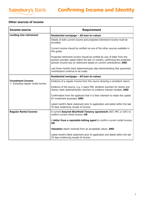# **Other sources of income**

| Income source                                                 | <b>Requirement</b>                                                                                                                                                                                                              |
|---------------------------------------------------------------|---------------------------------------------------------------------------------------------------------------------------------------------------------------------------------------------------------------------------------|
| <b>Lending into retirement</b>                                | Residential mortgage - All loan-to-values                                                                                                                                                                                       |
|                                                               | Details of both current income and projected retirement income must be<br>provided;                                                                                                                                             |
|                                                               | Current income should be verified via one of the other sources available in<br>this guide;                                                                                                                                      |
|                                                               | Projected retirement income should be verified by way of letter from the<br>pension provider, dated within the last 12 months, confirming the projected<br>pension income due on retirement based on current contributions; AND |
|                                                               | Last three months bank statements/pay slips demonstrating that payments/<br>contributions continue to be made.                                                                                                                  |
|                                                               | Residential mortgage - All loan-to-values                                                                                                                                                                                       |
| <b>Investment Income</b><br>• Excluding regular rental income | Evidence of a regular income from this source showing a consistent return;                                                                                                                                                      |
|                                                               | Evidence of the source, e.g. 2 years P60, dividend vouchers for stocks and<br>shares; bank statements/tax vouchers to evidence interest receipts; AND                                                                           |
|                                                               | Confirmation from the applicant that it is their intention to retain the capital<br>for investment purposes; AND                                                                                                                |
|                                                               | Latest month's Bank statement prior to application and dated within the last<br>35 days evidencing receipt of income.                                                                                                           |
| <b>Regular Rental Income</b>                                  | A current Assured Shorthold Tenancy agreement (AST, PRT, or SAT) to<br>confirm current rental income; OR                                                                                                                        |
|                                                               | A letter from a reputable letting agent to confirm current rental income;<br><b>OR</b>                                                                                                                                          |
|                                                               | Valuation report received from an acceptable valuer; AND                                                                                                                                                                        |
|                                                               | Latest month's Bank statement prior to application and dated within the last<br>35 days evidencing receipt of income.                                                                                                           |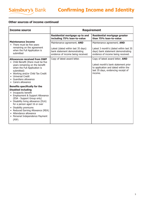### **Other sources of income continued**

| Income source                                                                                                                                                                                                                                                                                                                                                          |                                                                                                                                        | <b>Requirement</b>                                                                                                                                               |
|------------------------------------------------------------------------------------------------------------------------------------------------------------------------------------------------------------------------------------------------------------------------------------------------------------------------------------------------------------------------|----------------------------------------------------------------------------------------------------------------------------------------|------------------------------------------------------------------------------------------------------------------------------------------------------------------|
|                                                                                                                                                                                                                                                                                                                                                                        | Residential mortgage up to and<br>including 75% loan-to-value                                                                          | <b>Residential mortgage greater</b><br>than 75% loan-to-value                                                                                                    |
| <b>Maintenance Income</b><br>• There must be five years<br>remaining on the agreement<br>when the Full Application is<br>submitted                                                                                                                                                                                                                                     | Maintenance agreement; AND<br>Latest (dated within last 35 days)<br>bank statement demonstrating<br>evidence of income being received. | Maintenance agreement; AND<br>Latest 3 month's (dated within last 35<br>days) bank statement demonstrating<br>evidence of income being received.                 |
| <b>Allowances received from DWP</b><br>• Child Benefit (there must be five<br>years remaining on the benefit<br>when the Full Application is<br>submitted)<br>• Working and/or Child Tax Credit<br>• Universal Credit<br>• Guardians allowance<br>• Carers allowance                                                                                                   | Copy of latest award letter.                                                                                                           | Copy of latest award letter; AND<br>Latest month's bank statement prior<br>to application and dated within the<br>last 35 days, evidencing receipt of<br>income. |
| <b>Benefits specifically for the</b><br><b>Disabled including</b><br>• Incapacity benefit<br>• Employment & Support Allowance<br>(ESA - Support Group only)<br>• Disability living allowance (DLA)<br>for a person aged 16 or over<br>• Disability premiums<br>• Reduced Earning Allowance (REA)<br>• Attendance allowance<br>• Personal Independence Payment<br>(PIP) |                                                                                                                                        |                                                                                                                                                                  |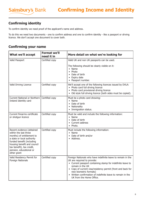# **Confirming identity**

Sainsbury's Bank

To confirm identity we need proof of the applicant's name and address.

To do this we need two documents - one to confirm address and one to confirm identity - like a passport or driving licence. We don't accept one document to cover both.

## **Confirming your name**

| <b>What we'll accept</b>                                                                                                                                                                                                                         | <b>Format we'll</b><br>need it in | More detail on what we're looking for                                                                                                                                                                                                                                                                                                                              |
|--------------------------------------------------------------------------------------------------------------------------------------------------------------------------------------------------------------------------------------------------|-----------------------------------|--------------------------------------------------------------------------------------------------------------------------------------------------------------------------------------------------------------------------------------------------------------------------------------------------------------------------------------------------------------------|
| Valid Passport                                                                                                                                                                                                                                   | Certified copy                    | Valid UK and non UK passports can be used.                                                                                                                                                                                                                                                                                                                         |
|                                                                                                                                                                                                                                                  |                                   | The following should be clearly visible on it:<br>• Name<br>• Photo<br>Date of birth<br>• Expiry date<br>• Passport number.                                                                                                                                                                                                                                        |
| Valid Driving Licence                                                                                                                                                                                                                            | Certified copy                    | We'll accept one of the following licences issued by DVLA:<br>• Photo card full driving licence<br>• Photo card provisional driving licence<br>• Old style full driving licence (both sides must be copied).                                                                                                                                                       |
| Current National or Northern<br>Ireland Identity card                                                                                                                                                                                            | Certified copy                    | Must be a photo card showing:<br>• Name<br>• Date of birth<br>• Nationality<br>• Immigration status.                                                                                                                                                                                                                                                               |
| Current firearms certificate<br>or shotgun licence                                                                                                                                                                                               | Certified copy                    | Must be valid and include the following information:<br>$\bullet$ Name<br>Date of birth<br>• Current address<br>• Photo.                                                                                                                                                                                                                                           |
| Recent evidence (obtained<br>within the last three<br>months) of entitlement to<br>a state or local authority<br>funded benefit (including<br>housing benefit and council<br>tax benefit), tax credit,<br>pension, educational or<br>other grant | Certified copy                    | Must include the following information:<br>$\bullet$ Name<br>• Date of birth and/or<br>• Address.                                                                                                                                                                                                                                                                  |
| Valid Residency Permit for<br>Foreign Nationals                                                                                                                                                                                                  | Certified copy                    | Foreign Nationals who have indefinite leave to remain in the<br>UK are required to provide:<br>• Current passport containing stamp for indefinite leave to<br>remain in the UK<br>• Copy of current visa/residency permit (front and back for<br>new biometric formats)<br>• Written confirmation of indefinite leave to remain in the<br>UK from the Home Office. |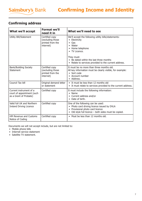# **Confirming address**

| <b>What we'll accept</b>                                                        | <b>Format we'll</b><br>need it in                                   | What we'll need to see                                                                                                                                                                                                                                   |
|---------------------------------------------------------------------------------|---------------------------------------------------------------------|----------------------------------------------------------------------------------------------------------------------------------------------------------------------------------------------------------------------------------------------------------|
| Utility Bill/Statement                                                          | Certified copy<br>(excluding those<br>printed from the<br>internet) | We'll accept the following utility bills/statements:<br>• Electricity<br>$\bullet$ Gas<br>• Water<br>• Home telephone<br>• TV Licence.<br>They must:<br>• Be dated within the last three months<br>• Relate to services provided to the current address. |
| <b>Bank/Building Society</b><br>Statement                                       | Certified copy<br>(excluding those<br>printed from the<br>internet) | It must be no more than three months old.<br>All key information must be clearly visible, for example:<br>• Sort code<br>• Account number<br>• Address.                                                                                                  |
| Council Tax bill                                                                | Original demand letter<br>or statement                              | • It must be less than 12 months old<br>• It must relate to services provided to the current address.                                                                                                                                                    |
| Current instrument of a<br>court of appointment (such<br>as a Grant of Probate) | Certified copy                                                      | It must include the following information:<br>$\bullet$ Name<br>• Current address and/or<br>• Date of birth.                                                                                                                                             |
| Valid full UK and Northern<br><b>Ireland Driving Licence</b>                    | Certified copy                                                      | One of the following can be used:<br>• Photo card driving licence issued by DVLA<br>• Provisional photo card licence<br>• Old style full licence – both sides must be copied.                                                                            |
| HM Revenue and Customs<br>Notice of Coding                                      | Certified copy                                                      | • Must be less than 12 months old.                                                                                                                                                                                                                       |

Documents we will not accept include, but are not limited to:

- Mobile phone bills
- Internet service statement
- Satellite TV statement.